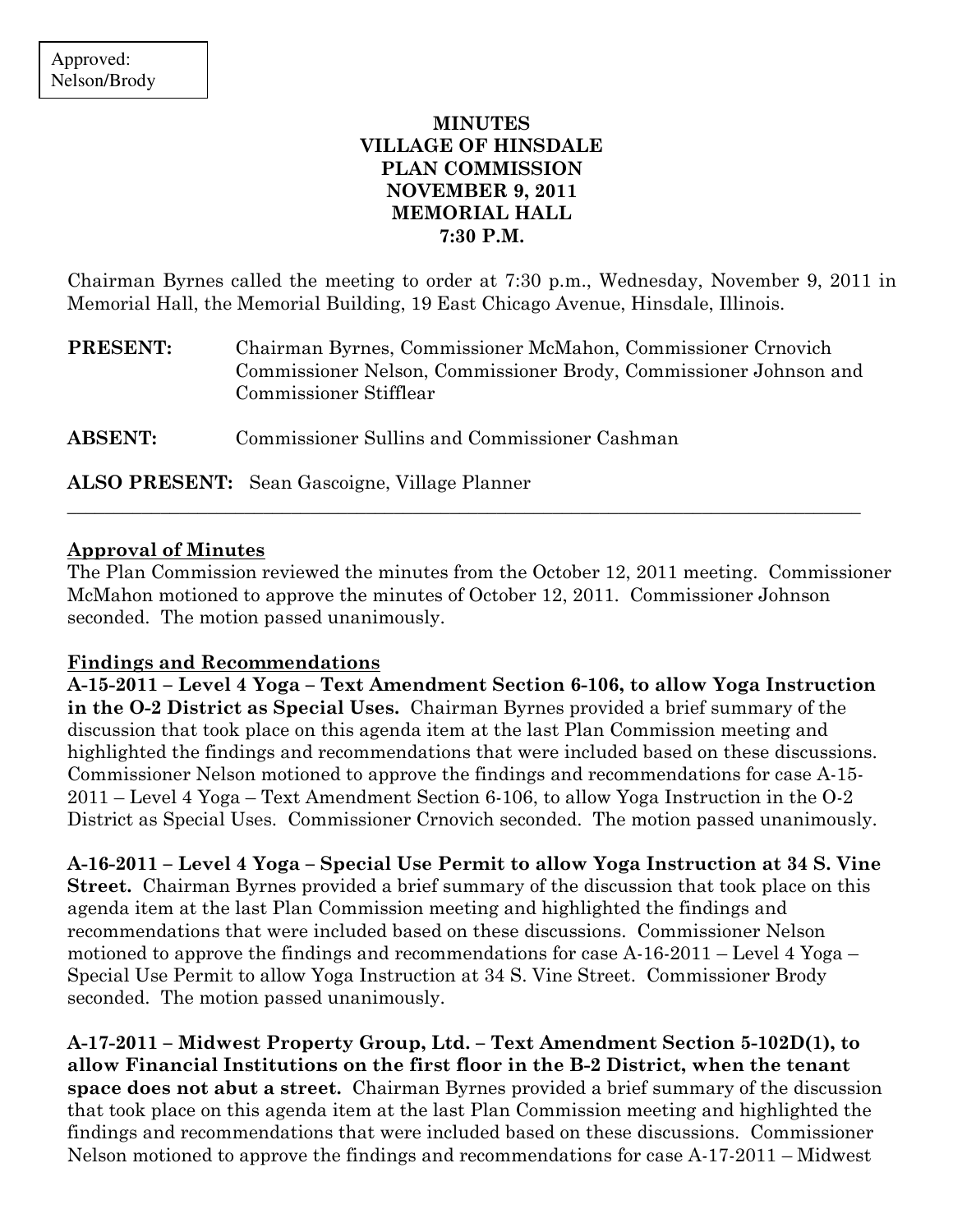# MINUTES VILLAGE OF HINSDALE PLAN COMMISSION NOVEMBER 9, 2011 MEMORIAL HALL 7:30 P.M.

Chairman Byrnes called the meeting to order at 7:30 p.m., Wednesday, November 9, 2011 in Memorial Hall, the Memorial Building, 19 East Chicago Avenue, Hinsdale, Illinois.

PRESENT: Chairman Byrnes, Commissioner McMahon, Commissioner Crnovich Commissioner Nelson, Commissioner Brody, Commissioner Johnson and Commissioner Stifflear

\_\_\_\_\_\_\_\_\_\_\_\_\_\_\_\_\_\_\_\_\_\_\_\_\_\_\_\_\_\_\_\_\_\_\_\_\_\_\_\_\_\_\_\_\_\_\_\_\_\_\_\_\_\_\_\_\_\_\_\_\_\_\_\_\_\_\_\_\_\_\_\_\_\_\_\_\_\_\_\_\_\_\_\_\_

ABSENT: Commissioner Sullins and Commissioner Cashman

ALSO PRESENT: Sean Gascoigne, Village Planner

## Approval of Minutes

The Plan Commission reviewed the minutes from the October 12, 2011 meeting. Commissioner McMahon motioned to approve the minutes of October 12, 2011. Commissioner Johnson seconded. The motion passed unanimously.

### Findings and Recommendations

A-15-2011 – Level 4 Yoga – Text Amendment Section 6-106, to allow Yoga Instruction in the O-2 District as Special Uses. Chairman Byrnes provided a brief summary of the discussion that took place on this agenda item at the last Plan Commission meeting and highlighted the findings and recommendations that were included based on these discussions. Commissioner Nelson motioned to approve the findings and recommendations for case A-15- 2011 – Level 4 Yoga – Text Amendment Section 6-106, to allow Yoga Instruction in the O-2 District as Special Uses. Commissioner Crnovich seconded. The motion passed unanimously.

A-16-2011 – Level 4 Yoga – Special Use Permit to allow Yoga Instruction at 34 S. Vine Street. Chairman Byrnes provided a brief summary of the discussion that took place on this agenda item at the last Plan Commission meeting and highlighted the findings and recommendations that were included based on these discussions. Commissioner Nelson motioned to approve the findings and recommendations for case A-16-2011 – Level 4 Yoga – Special Use Permit to allow Yoga Instruction at 34 S. Vine Street. Commissioner Brody seconded. The motion passed unanimously.

A-17-2011 – Midwest Property Group, Ltd. – Text Amendment Section 5-102D(1), to allow Financial Institutions on the first floor in the B-2 District, when the tenant space does not abut a street. Chairman Byrnes provided a brief summary of the discussion that took place on this agenda item at the last Plan Commission meeting and highlighted the findings and recommendations that were included based on these discussions. Commissioner Nelson motioned to approve the findings and recommendations for case A-17-2011 – Midwest